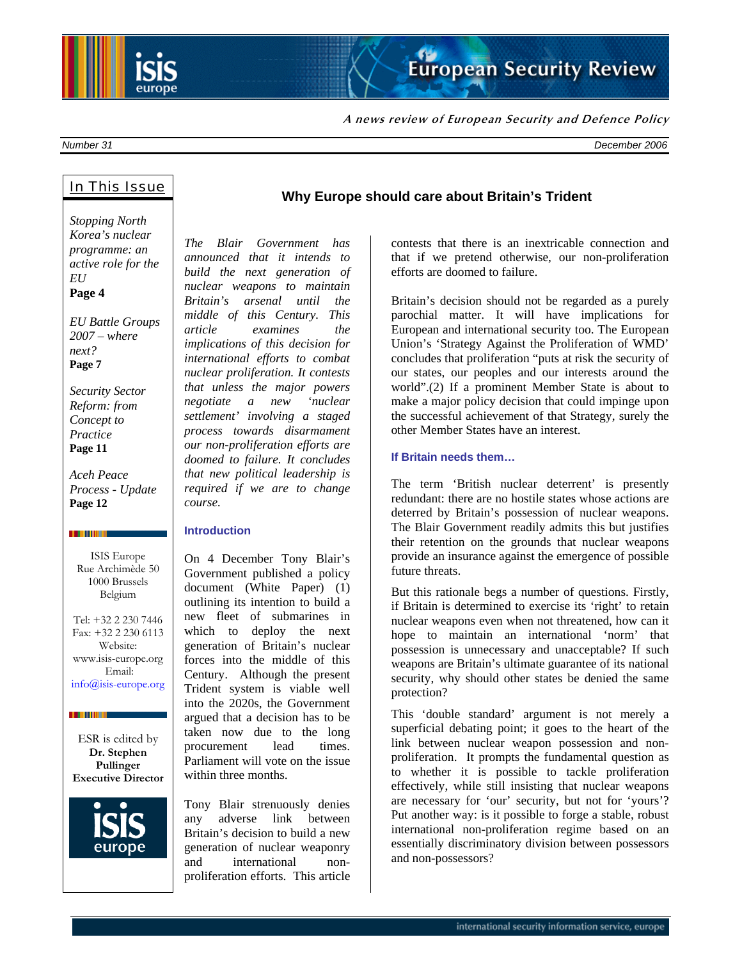

**A news review of European Security and Defence Policy**

*Number 31 December 2006*

## In This Issue

*Stopping North Korea's nuclear programme: an active role for the EU*  **Page 4** 

*EU Battle Groups 2007 – where next?* **Page 7** 

*Security Sector Reform: from Concept to Practice*  **Page 11** 

*Aceh Peace Process - Update*  **Page 12** 

**THE PERSON** 

ISIS Europe Rue Archimède 50 1000 Brussels Belgium

Tel: +32 2 230 7446 Fax: +32 2 230 6113 Website: www.isis-europe.org Email: info@isis-europe.org

#### **THE REAL PROPERTY**

ESR is edited by **Dr. Stephen Pullinger Executive Director** 



*The Blair Government has announced that it intends to build the next generation of nuclear weapons to maintain Britain's arsenal until the middle of this Century. This article examines the implications of this decision for international efforts to combat nuclear proliferation. It contests that unless the major powers negotiate a new 'nuclear settlement' involving a staged process towards disarmament our non-proliferation efforts are doomed to failure. It concludes that new political leadership is required if we are to change course.* 

#### **Introduction**

On 4 December Tony Blair's Government published a policy document (White Paper) (1) outlining its intention to build a new fleet of submarines in which to deploy the next generation of Britain's nuclear forces into the middle of this Century. Although the present Trident system is viable well into the 2020s, the Government argued that a decision has to be taken now due to the long procurement lead times. Parliament will vote on the issue within three months.

Tony Blair strenuously denies any adverse link between Britain's decision to build a new generation of nuclear weaponry and international nonproliferation efforts. This article

## **Why Europe should care about Britain's Trident**

contests that there is an inextricable connection and that if we pretend otherwise, our non-proliferation efforts are doomed to failure.

Britain's decision should not be regarded as a purely parochial matter. It will have implications for European and international security too. The European Union's 'Strategy Against the Proliferation of WMD' concludes that proliferation "puts at risk the security of our states, our peoples and our interests around the world".(2) If a prominent Member State is about to make a major policy decision that could impinge upon the successful achievement of that Strategy, surely the other Member States have an interest.

#### **If Britain needs them…**

The term 'British nuclear deterrent' is presently redundant: there are no hostile states whose actions are deterred by Britain's possession of nuclear weapons. The Blair Government readily admits this but justifies their retention on the grounds that nuclear weapons provide an insurance against the emergence of possible future threats.

But this rationale begs a number of questions. Firstly, if Britain is determined to exercise its 'right' to retain nuclear weapons even when not threatened, how can it hope to maintain an international 'norm' that possession is unnecessary and unacceptable? If such weapons are Britain's ultimate guarantee of its national security, why should other states be denied the same protection?

This 'double standard' argument is not merely a superficial debating point; it goes to the heart of the link between nuclear weapon possession and nonproliferation. It prompts the fundamental question as to whether it is possible to tackle proliferation effectively, while still insisting that nuclear weapons are necessary for 'our' security, but not for 'yours'? Put another way: is it possible to forge a stable, robust international non-proliferation regime based on an essentially discriminatory division between possessors and non-possessors?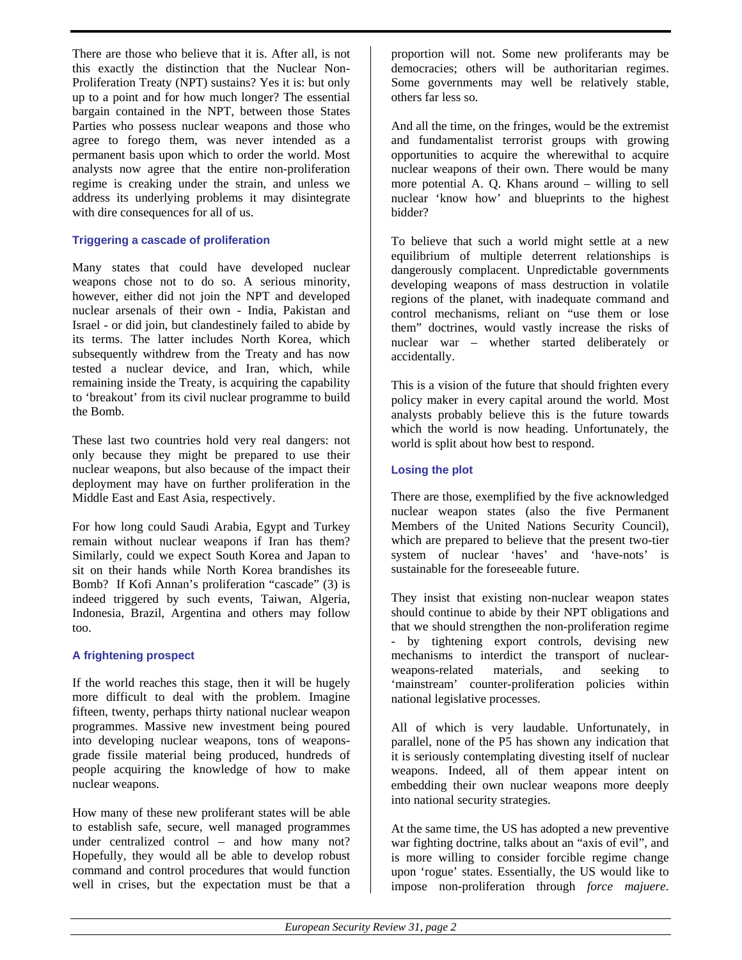There are those who believe that it is. After all, is not this exactly the distinction that the Nuclear Non-Proliferation Treaty (NPT) sustains? Yes it is: but only up to a point and for how much longer? The essential bargain contained in the NPT, between those States Parties who possess nuclear weapons and those who agree to forego them, was never intended as a permanent basis upon which to order the world. Most analysts now agree that the entire non-proliferation regime is creaking under the strain, and unless we address its underlying problems it may disintegrate with dire consequences for all of us.

## **Triggering a cascade of proliferation**

Many states that could have developed nuclear weapons chose not to do so. A serious minority, however, either did not join the NPT and developed nuclear arsenals of their own - India, Pakistan and Israel - or did join, but clandestinely failed to abide by its terms. The latter includes North Korea, which subsequently withdrew from the Treaty and has now tested a nuclear device, and Iran, which, while remaining inside the Treaty, is acquiring the capability to 'breakout' from its civil nuclear programme to build the Bomb.

These last two countries hold very real dangers: not only because they might be prepared to use their nuclear weapons, but also because of the impact their deployment may have on further proliferation in the Middle East and East Asia, respectively.

For how long could Saudi Arabia, Egypt and Turkey remain without nuclear weapons if Iran has them? Similarly, could we expect South Korea and Japan to sit on their hands while North Korea brandishes its Bomb? If Kofi Annan's proliferation "cascade" (3) is indeed triggered by such events, Taiwan, Algeria, Indonesia, Brazil, Argentina and others may follow too.

## **A frightening prospect**

If the world reaches this stage, then it will be hugely more difficult to deal with the problem. Imagine fifteen, twenty, perhaps thirty national nuclear weapon programmes. Massive new investment being poured into developing nuclear weapons, tons of weaponsgrade fissile material being produced, hundreds of people acquiring the knowledge of how to make nuclear weapons.

How many of these new proliferant states will be able to establish safe, secure, well managed programmes under centralized control – and how many not? Hopefully, they would all be able to develop robust command and control procedures that would function well in crises, but the expectation must be that a proportion will not. Some new proliferants may be democracies; others will be authoritarian regimes. Some governments may well be relatively stable, others far less so.

And all the time, on the fringes, would be the extremist and fundamentalist terrorist groups with growing opportunities to acquire the wherewithal to acquire nuclear weapons of their own. There would be many more potential A. Q. Khans around – willing to sell nuclear 'know how' and blueprints to the highest bidder?

To believe that such a world might settle at a new equilibrium of multiple deterrent relationships is dangerously complacent. Unpredictable governments developing weapons of mass destruction in volatile regions of the planet, with inadequate command and control mechanisms, reliant on "use them or lose them" doctrines, would vastly increase the risks of nuclear war – whether started deliberately or accidentally.

This is a vision of the future that should frighten every policy maker in every capital around the world. Most analysts probably believe this is the future towards which the world is now heading. Unfortunately, the world is split about how best to respond.

## **Losing the plot**

There are those, exemplified by the five acknowledged nuclear weapon states (also the five Permanent Members of the United Nations Security Council), which are prepared to believe that the present two-tier system of nuclear 'haves' and 'have-nots' is sustainable for the foreseeable future.

They insist that existing non-nuclear weapon states should continue to abide by their NPT obligations and that we should strengthen the non-proliferation regime - by tightening export controls, devising new mechanisms to interdict the transport of nuclearweapons-related materials, and seeking to 'mainstream' counter-proliferation policies within national legislative processes.

All of which is very laudable. Unfortunately, in parallel, none of the P5 has shown any indication that it is seriously contemplating divesting itself of nuclear weapons. Indeed, all of them appear intent on embedding their own nuclear weapons more deeply into national security strategies.

At the same time, the US has adopted a new preventive war fighting doctrine, talks about an "axis of evil", and is more willing to consider forcible regime change upon 'rogue' states. Essentially, the US would like to impose non-proliferation through *force majuere*.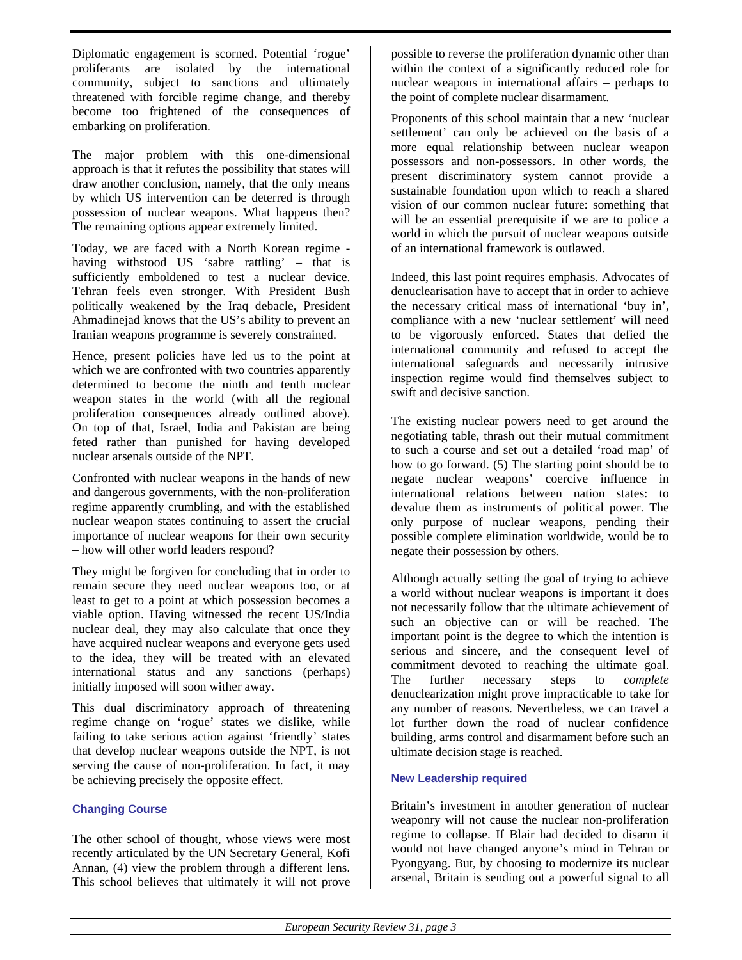Diplomatic engagement is scorned. Potential 'rogue' proliferants are isolated by the international community, subject to sanctions and ultimately threatened with forcible regime change, and thereby become too frightened of the consequences of embarking on proliferation.

The major problem with this one-dimensional approach is that it refutes the possibility that states will draw another conclusion, namely, that the only means by which US intervention can be deterred is through possession of nuclear weapons. What happens then? The remaining options appear extremely limited.

Today, we are faced with a North Korean regime having withstood US 'sabre rattling' – that is sufficiently emboldened to test a nuclear device. Tehran feels even stronger. With President Bush politically weakened by the Iraq debacle, President Ahmadinejad knows that the US's ability to prevent an Iranian weapons programme is severely constrained.

Hence, present policies have led us to the point at which we are confronted with two countries apparently determined to become the ninth and tenth nuclear weapon states in the world (with all the regional proliferation consequences already outlined above). On top of that, Israel, India and Pakistan are being feted rather than punished for having developed nuclear arsenals outside of the NPT.

Confronted with nuclear weapons in the hands of new and dangerous governments, with the non-proliferation regime apparently crumbling, and with the established nuclear weapon states continuing to assert the crucial importance of nuclear weapons for their own security – how will other world leaders respond?

They might be forgiven for concluding that in order to remain secure they need nuclear weapons too, or at least to get to a point at which possession becomes a viable option. Having witnessed the recent US/India nuclear deal, they may also calculate that once they have acquired nuclear weapons and everyone gets used to the idea, they will be treated with an elevated international status and any sanctions (perhaps) initially imposed will soon wither away.

This dual discriminatory approach of threatening regime change on 'rogue' states we dislike, while failing to take serious action against 'friendly' states that develop nuclear weapons outside the NPT, is not serving the cause of non-proliferation. In fact, it may be achieving precisely the opposite effect.

## **Changing Course**

The other school of thought, whose views were most recently articulated by the UN Secretary General, Kofi Annan, (4) view the problem through a different lens. This school believes that ultimately it will not prove possible to reverse the proliferation dynamic other than within the context of a significantly reduced role for nuclear weapons in international affairs – perhaps to the point of complete nuclear disarmament.

Proponents of this school maintain that a new 'nuclear settlement' can only be achieved on the basis of a more equal relationship between nuclear weapon possessors and non-possessors. In other words, the present discriminatory system cannot provide a sustainable foundation upon which to reach a shared vision of our common nuclear future: something that will be an essential prerequisite if we are to police a world in which the pursuit of nuclear weapons outside of an international framework is outlawed.

Indeed, this last point requires emphasis. Advocates of denuclearisation have to accept that in order to achieve the necessary critical mass of international 'buy in', compliance with a new 'nuclear settlement' will need to be vigorously enforced. States that defied the international community and refused to accept the international safeguards and necessarily intrusive inspection regime would find themselves subject to swift and decisive sanction.

The existing nuclear powers need to get around the negotiating table, thrash out their mutual commitment to such a course and set out a detailed 'road map' of how to go forward. (5) The starting point should be to negate nuclear weapons' coercive influence in international relations between nation states: to devalue them as instruments of political power. The only purpose of nuclear weapons, pending their possible complete elimination worldwide, would be to negate their possession by others.

Although actually setting the goal of trying to achieve a world without nuclear weapons is important it does not necessarily follow that the ultimate achievement of such an objective can or will be reached. The important point is the degree to which the intention is serious and sincere, and the consequent level of commitment devoted to reaching the ultimate goal. The further necessary steps to *complete* denuclearization might prove impracticable to take for any number of reasons. Nevertheless, we can travel a lot further down the road of nuclear confidence building, arms control and disarmament before such an ultimate decision stage is reached.

#### **New Leadership required**

Britain's investment in another generation of nuclear weaponry will not cause the nuclear non-proliferation regime to collapse. If Blair had decided to disarm it would not have changed anyone's mind in Tehran or Pyongyang. But, by choosing to modernize its nuclear arsenal, Britain is sending out a powerful signal to all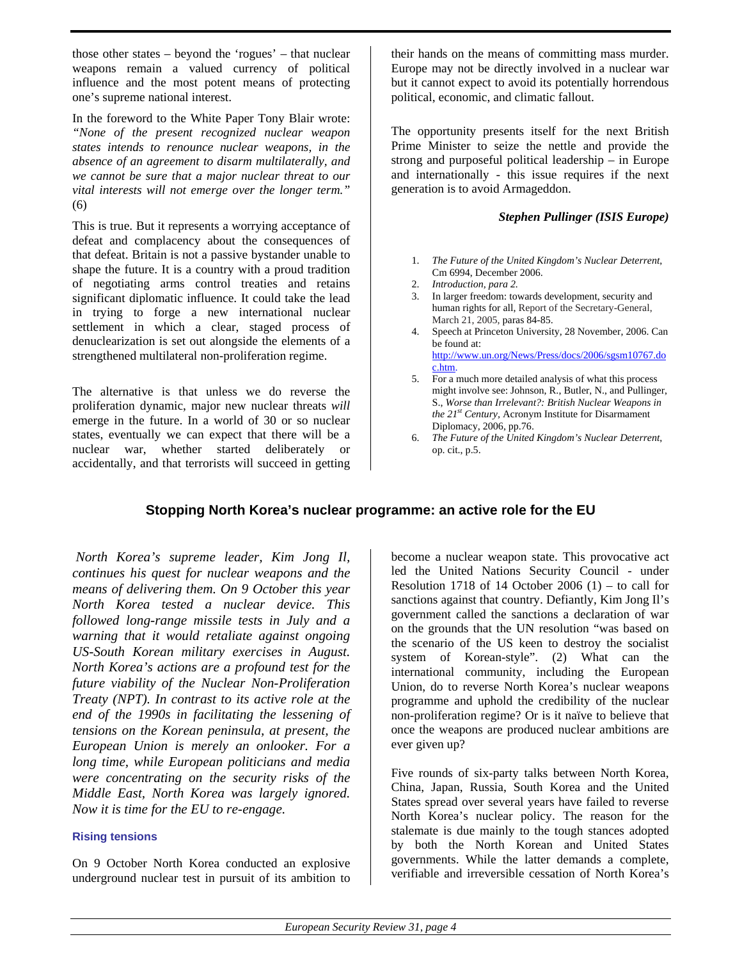those other states – beyond the 'rogues' – that nuclear weapons remain a valued currency of political influence and the most potent means of protecting one's supreme national interest.

In the foreword to the White Paper Tony Blair wrote: *"None of the present recognized nuclear weapon states intends to renounce nuclear weapons, in the absence of an agreement to disarm multilaterally, and we cannot be sure that a major nuclear threat to our vital interests will not emerge over the longer term."*  (6)

This is true. But it represents a worrying acceptance of defeat and complacency about the consequences of that defeat. Britain is not a passive bystander unable to shape the future. It is a country with a proud tradition of negotiating arms control treaties and retains significant diplomatic influence. It could take the lead in trying to forge a new international nuclear settlement in which a clear, staged process of denuclearization is set out alongside the elements of a strengthened multilateral non-proliferation regime.

The alternative is that unless we do reverse the proliferation dynamic, major new nuclear threats *will*  emerge in the future. In a world of 30 or so nuclear states, eventually we can expect that there will be a nuclear war, whether started deliberately or accidentally, and that terrorists will succeed in getting their hands on the means of committing mass murder. Europe may not be directly involved in a nuclear war but it cannot expect to avoid its potentially horrendous political, economic, and climatic fallout.

The opportunity presents itself for the next British Prime Minister to seize the nettle and provide the strong and purposeful political leadership – in Europe and internationally - this issue requires if the next generation is to avoid Armageddon.

#### *Stephen Pullinger (ISIS Europe)*

- 1. *The Future of the United Kingdom's Nuclear Deterrent*, Cm 6994, December 2006.
- 2. *Introduction, para 2.*
- 3. In larger freedom: towards development, security and human rights for all, Report of the Secretary-General, March 21, 2005, paras 84-85.
- 4. Speech at Princeton University, 28 November, 2006. Can be found at: http://www.un.org/News/Press/docs/2006/sgsm10767.do
- c.htm. 5. For a much more detailed analysis of what this process might involve see: Johnson, R., Butler, N., and Pullinger, S., *Worse than Irrelevant?: British Nuclear Weapons in the 21st Century,* Acronym Institute for Disarmament Diplomacy, 2006, pp.76.
- 6. *The Future of the United Kingdom's Nuclear Deterrent*, op. cit., p.5.

## **Stopping North Korea's nuclear programme: an active role for the EU**

 *North Korea's supreme leader, Kim Jong Il, continues his quest for nuclear weapons and the means of delivering them. On 9 October this year North Korea tested a nuclear device. This followed long-range missile tests in July and a warning that it would retaliate against ongoing US-South Korean military exercises in August. North Korea's actions are a profound test for the future viability of the Nuclear Non-Proliferation Treaty (NPT). In contrast to its active role at the end of the 1990s in facilitating the lessening of tensions on the Korean peninsula, at present, the European Union is merely an onlooker. For a long time, while European politicians and media were concentrating on the security risks of the Middle East, North Korea was largely ignored. Now it is time for the EU to re-engage.* 

## **Rising tensions**

On 9 October North Korea conducted an explosive underground nuclear test in pursuit of its ambition to become a nuclear weapon state. This provocative act led the United Nations Security Council - under Resolution 1718 of 14 October 2006  $(1)$  – to call for sanctions against that country. Defiantly, Kim Jong Il's government called the sanctions a declaration of war on the grounds that the UN resolution "was based on the scenario of the US keen to destroy the socialist system of Korean-style". (2) What can the international community, including the European Union, do to reverse North Korea's nuclear weapons programme and uphold the credibility of the nuclear non-proliferation regime? Or is it naïve to believe that once the weapons are produced nuclear ambitions are ever given up?

Five rounds of six-party talks between North Korea, China, Japan, Russia, South Korea and the United States spread over several years have failed to reverse North Korea's nuclear policy. The reason for the stalemate is due mainly to the tough stances adopted by both the North Korean and United States governments. While the latter demands a complete, verifiable and irreversible cessation of North Korea's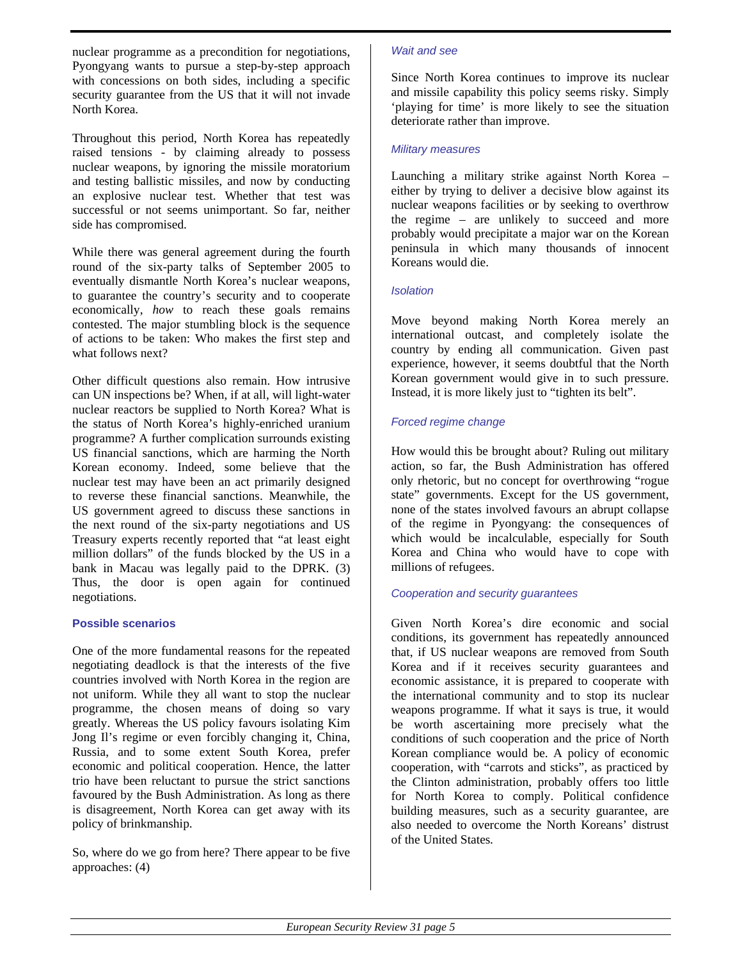nuclear programme as a precondition for negotiations, Pyongyang wants to pursue a step-by-step approach with concessions on both sides, including a specific security guarantee from the US that it will not invade North Korea.

Throughout this period, North Korea has repeatedly raised tensions - by claiming already to possess nuclear weapons, by ignoring the missile moratorium and testing ballistic missiles, and now by conducting an explosive nuclear test. Whether that test was successful or not seems unimportant. So far, neither side has compromised.

While there was general agreement during the fourth round of the six-party talks of September 2005 to eventually dismantle North Korea's nuclear weapons, to guarantee the country's security and to cooperate economically, *how* to reach these goals remains contested. The major stumbling block is the sequence of actions to be taken: Who makes the first step and what follows next?

Other difficult questions also remain. How intrusive can UN inspections be? When, if at all, will light-water nuclear reactors be supplied to North Korea? What is the status of North Korea's highly-enriched uranium programme? A further complication surrounds existing US financial sanctions, which are harming the North Korean economy. Indeed, some believe that the nuclear test may have been an act primarily designed to reverse these financial sanctions. Meanwhile, the US government agreed to discuss these sanctions in the next round of the six-party negotiations and US Treasury experts recently reported that "at least eight million dollars" of the funds blocked by the US in a bank in Macau was legally paid to the DPRK. (3) Thus, the door is open again for continued negotiations.

#### **Possible scenarios**

One of the more fundamental reasons for the repeated negotiating deadlock is that the interests of the five countries involved with North Korea in the region are not uniform. While they all want to stop the nuclear programme, the chosen means of doing so vary greatly. Whereas the US policy favours isolating Kim Jong Il's regime or even forcibly changing it, China, Russia, and to some extent South Korea, prefer economic and political cooperation. Hence, the latter trio have been reluctant to pursue the strict sanctions favoured by the Bush Administration. As long as there is disagreement, North Korea can get away with its policy of brinkmanship.

So, where do we go from here? There appear to be five approaches: (4)

#### *Wait and see*

Since North Korea continues to improve its nuclear and missile capability this policy seems risky. Simply 'playing for time' is more likely to see the situation deteriorate rather than improve.

#### *Military measures*

Launching a military strike against North Korea – either by trying to deliver a decisive blow against its nuclear weapons facilities or by seeking to overthrow the regime – are unlikely to succeed and more probably would precipitate a major war on the Korean peninsula in which many thousands of innocent Koreans would die.

#### *Isolation*

Move beyond making North Korea merely an international outcast, and completely isolate the country by ending all communication. Given past experience, however, it seems doubtful that the North Korean government would give in to such pressure. Instead, it is more likely just to "tighten its belt".

#### *Forced regime change*

How would this be brought about? Ruling out military action, so far, the Bush Administration has offered only rhetoric, but no concept for overthrowing "rogue state" governments. Except for the US government, none of the states involved favours an abrupt collapse of the regime in Pyongyang: the consequences of which would be incalculable, especially for South Korea and China who would have to cope with millions of refugees.

## *Cooperation and security guarantees*

Given North Korea's dire economic and social conditions, its government has repeatedly announced that, if US nuclear weapons are removed from South Korea and if it receives security guarantees and economic assistance, it is prepared to cooperate with the international community and to stop its nuclear weapons programme. If what it says is true, it would be worth ascertaining more precisely what the conditions of such cooperation and the price of North Korean compliance would be. A policy of economic cooperation, with "carrots and sticks", as practiced by the Clinton administration, probably offers too little for North Korea to comply. Political confidence building measures, such as a security guarantee, are also needed to overcome the North Koreans' distrust of the United States*.*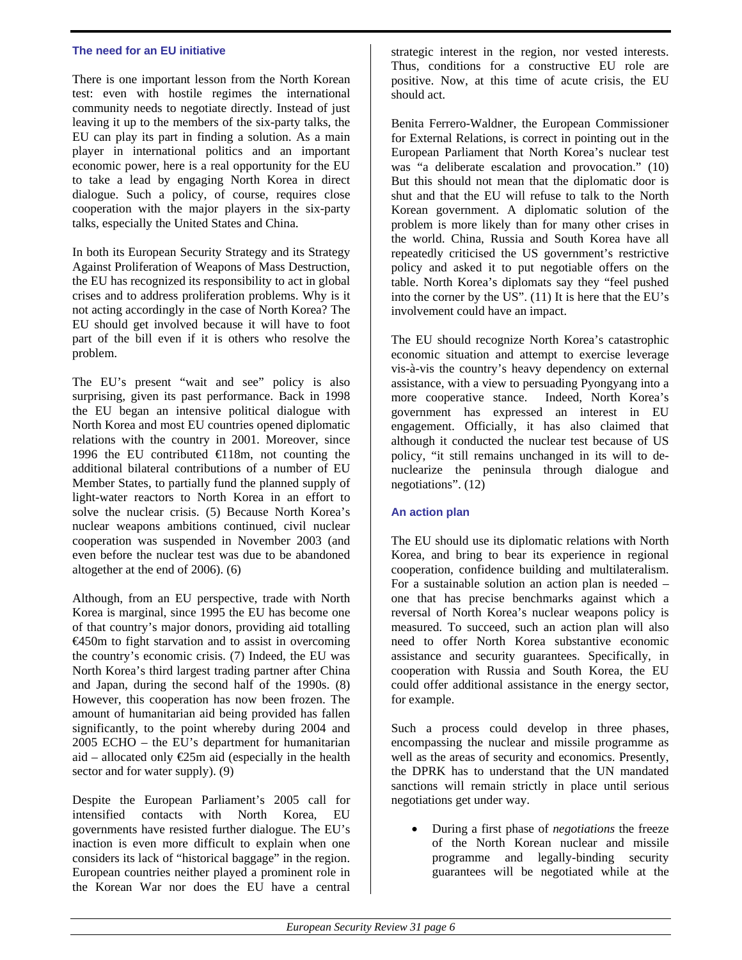#### **The need for an EU initiative**

There is one important lesson from the North Korean test: even with hostile regimes the international community needs to negotiate directly. Instead of just leaving it up to the members of the six-party talks, the EU can play its part in finding a solution. As a main player in international politics and an important economic power, here is a real opportunity for the EU to take a lead by engaging North Korea in direct dialogue. Such a policy, of course, requires close cooperation with the major players in the six-party talks, especially the United States and China.

In both its European Security Strategy and its Strategy Against Proliferation of Weapons of Mass Destruction, the EU has recognized its responsibility to act in global crises and to address proliferation problems. Why is it not acting accordingly in the case of North Korea? The EU should get involved because it will have to foot part of the bill even if it is others who resolve the problem.

The EU's present "wait and see" policy is also surprising, given its past performance. Back in 1998 the EU began an intensive political dialogue with North Korea and most EU countries opened diplomatic relations with the country in 2001. Moreover, since 1996 the EU contributed  $\bigoplus$ 18m, not counting the additional bilateral contributions of a number of EU Member States, to partially fund the planned supply of light-water reactors to North Korea in an effort to solve the nuclear crisis. (5) Because North Korea's nuclear weapons ambitions continued, civil nuclear cooperation was suspended in November 2003 (and even before the nuclear test was due to be abandoned altogether at the end of 2006). (6)

Although, from an EU perspective, trade with North Korea is marginal, since 1995 the EU has become one of that country's major donors, providing aid totalling €450m to fight starvation and to assist in overcoming the country's economic crisis. (7) Indeed, the EU was North Korea's third largest trading partner after China and Japan, during the second half of the 1990s. (8) However, this cooperation has now been frozen. The amount of humanitarian aid being provided has fallen significantly, to the point whereby during 2004 and 2005 ECHO – the EU's department for humanitarian aid – allocated only  $\epsilon$ 25m aid (especially in the health sector and for water supply). (9)

Despite the European Parliament's 2005 call for intensified contacts with North Korea, EU governments have resisted further dialogue. The EU's inaction is even more difficult to explain when one considers its lack of "historical baggage" in the region. European countries neither played a prominent role in the Korean War nor does the EU have a central

strategic interest in the region, nor vested interests. Thus, conditions for a constructive EU role are positive. Now, at this time of acute crisis, the EU should act.

Benita Ferrero-Waldner, the European Commissioner for External Relations, is correct in pointing out in the European Parliament that North Korea's nuclear test was "a deliberate escalation and provocation." (10) But this should not mean that the diplomatic door is shut and that the EU will refuse to talk to the North Korean government. A diplomatic solution of the problem is more likely than for many other crises in the world. China, Russia and South Korea have all repeatedly criticised the US government's restrictive policy and asked it to put negotiable offers on the table. North Korea's diplomats say they "feel pushed into the corner by the US". (11) It is here that the EU's involvement could have an impact.

The EU should recognize North Korea's catastrophic economic situation and attempt to exercise leverage vis-à-vis the country's heavy dependency on external assistance, with a view to persuading Pyongyang into a more cooperative stance. Indeed, North Korea's government has expressed an interest in EU engagement. Officially, it has also claimed that although it conducted the nuclear test because of US policy, "it still remains unchanged in its will to denuclearize the peninsula through dialogue and negotiations". (12)

## **An action plan**

The EU should use its diplomatic relations with North Korea, and bring to bear its experience in regional cooperation, confidence building and multilateralism. For a sustainable solution an action plan is needed – one that has precise benchmarks against which a reversal of North Korea's nuclear weapons policy is measured. To succeed, such an action plan will also need to offer North Korea substantive economic assistance and security guarantees. Specifically, in cooperation with Russia and South Korea, the EU could offer additional assistance in the energy sector, for example.

Such a process could develop in three phases, encompassing the nuclear and missile programme as well as the areas of security and economics. Presently, the DPRK has to understand that the UN mandated sanctions will remain strictly in place until serious negotiations get under way.

• During a first phase of *negotiations* the freeze of the North Korean nuclear and missile programme and legally-binding security guarantees will be negotiated while at the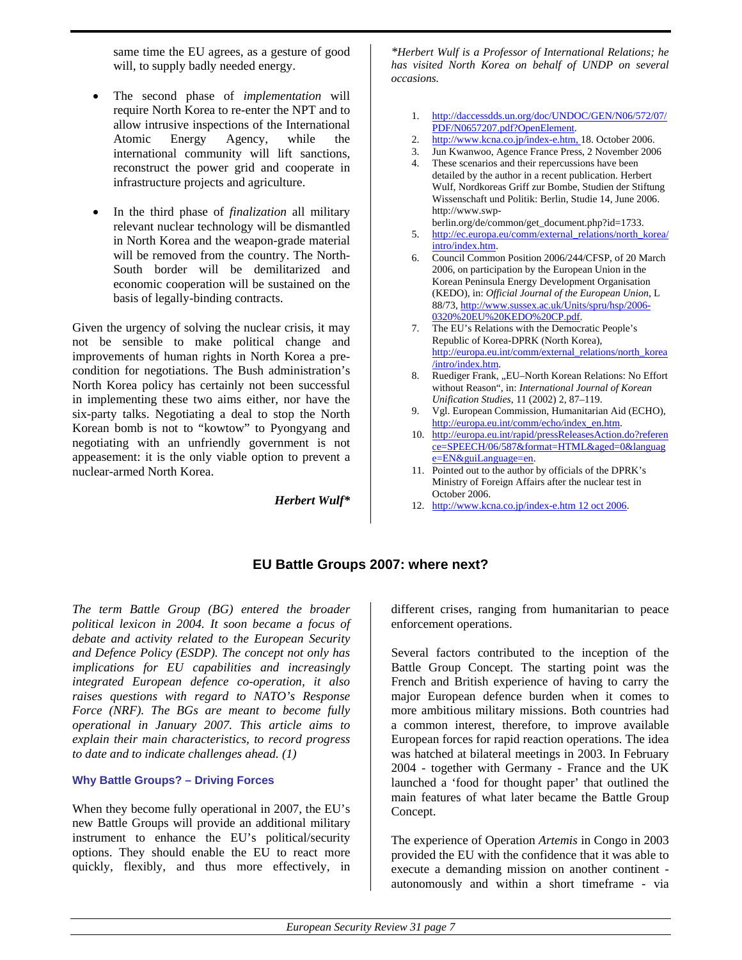same time the EU agrees, as a gesture of good will, to supply badly needed energy.

- The second phase of *implementation* will require North Korea to re-enter the NPT and to allow intrusive inspections of the International Atomic Energy Agency, while the international community will lift sanctions, reconstruct the power grid and cooperate in infrastructure projects and agriculture.
- In the third phase of *finalization* all military relevant nuclear technology will be dismantled in North Korea and the weapon-grade material will be removed from the country. The North-South border will be demilitarized and economic cooperation will be sustained on the basis of legally-binding contracts.

Given the urgency of solving the nuclear crisis, it may not be sensible to make political change and improvements of human rights in North Korea a precondition for negotiations. The Bush administration's North Korea policy has certainly not been successful in implementing these two aims either, nor have the six-party talks. Negotiating a deal to stop the North Korean bomb is not to "kowtow" to Pyongyang and negotiating with an unfriendly government is not appeasement: it is the only viable option to prevent a nuclear-armed North Korea.

*Herbert Wulf\**

*\*Herbert Wulf is a Professor of International Relations; he has visited North Korea on behalf of UNDP on several occasions.* 

- 1. http://daccessdds.un.org/doc/UNDOC/GEN/N06/572/07/ PDF/N0657207.pdf?OpenElement.
- 2. http://www.kcna.co.jp/index-e.htm, 18. October 2006.
- 3. Jun Kwanwoo, Agence France Press, 2 November 2006
- 4. These scenarios and their repercussions have been detailed by the author in a recent publication. Herbert Wulf, Nordkoreas Griff zur Bombe, Studien der Stiftung Wissenschaft und Politik: Berlin, Studie 14, June 2006. http://www.swp-
- berlin.org/de/common/get\_document.php?id=1733. 5. http://ec.europa.eu/comm/external\_relations/north\_korea/ intro/index.htm.
- 6. Council Common Position 2006/244/CFSP, of 20 March 2006, on participation by the European Union in the Korean Peninsula Energy Development Organisation (KEDO), in: *Official Journal of the European Union*, L 88/73, http://www.sussex.ac.uk/Units/spru/hsp/2006- 0320%20EU%20KEDO%20CP.pdf.
- 7. The EU's Relations with the Democratic People's Republic of Korea-DPRK (North Korea), http://europa.eu.int/comm/external\_relations/north\_korea /intro/index.htm.
- 8. Ruediger Frank, "EU–North Korean Relations: No Effort without Reason", in: *International Journal of Korean Unification Studies*, 11 (2002) 2, 87–119.
- 9. Vgl. European Commission, Humanitarian Aid (ECHO), http://europa.eu.int/comm/echo/index\_en.htm.
- 10. http://europa.eu.int/rapid/pressReleasesAction.do?referen ce=SPEECH/06/587&format=HTML&aged=0&languag e=EN&guiLanguage=en.
- 11. Pointed out to the author by officials of the DPRK's Ministry of Foreign Affairs after the nuclear test in October 2006.
- 12. http://www.kcna.co.jp/index-e.htm 12 oct 2006.

## **EU Battle Groups 2007: where next?**

*The term Battle Group (BG) entered the broader political lexicon in 2004. It soon became a focus of debate and activity related to the European Security and Defence Policy (ESDP). The concept not only has implications for EU capabilities and increasingly integrated European defence co-operation, it also raises questions with regard to NATO's Response Force (NRF). The BGs are meant to become fully operational in January 2007. This article aims to explain their main characteristics, to record progress to date and to indicate challenges ahead. (1)* 

## **Why Battle Groups? – Driving Forces**

When they become fully operational in 2007, the EU's new Battle Groups will provide an additional military instrument to enhance the EU's political/security options. They should enable the EU to react more quickly, flexibly, and thus more effectively, in different crises, ranging from humanitarian to peace enforcement operations.

Several factors contributed to the inception of the Battle Group Concept. The starting point was the French and British experience of having to carry the major European defence burden when it comes to more ambitious military missions. Both countries had a common interest, therefore, to improve available European forces for rapid reaction operations. The idea was hatched at bilateral meetings in 2003. In February 2004 - together with Germany - France and the UK launched a 'food for thought paper' that outlined the main features of what later became the Battle Group Concept.

The experience of Operation *Artemis* in Congo in 2003 provided the EU with the confidence that it was able to execute a demanding mission on another continent autonomously and within a short timeframe - via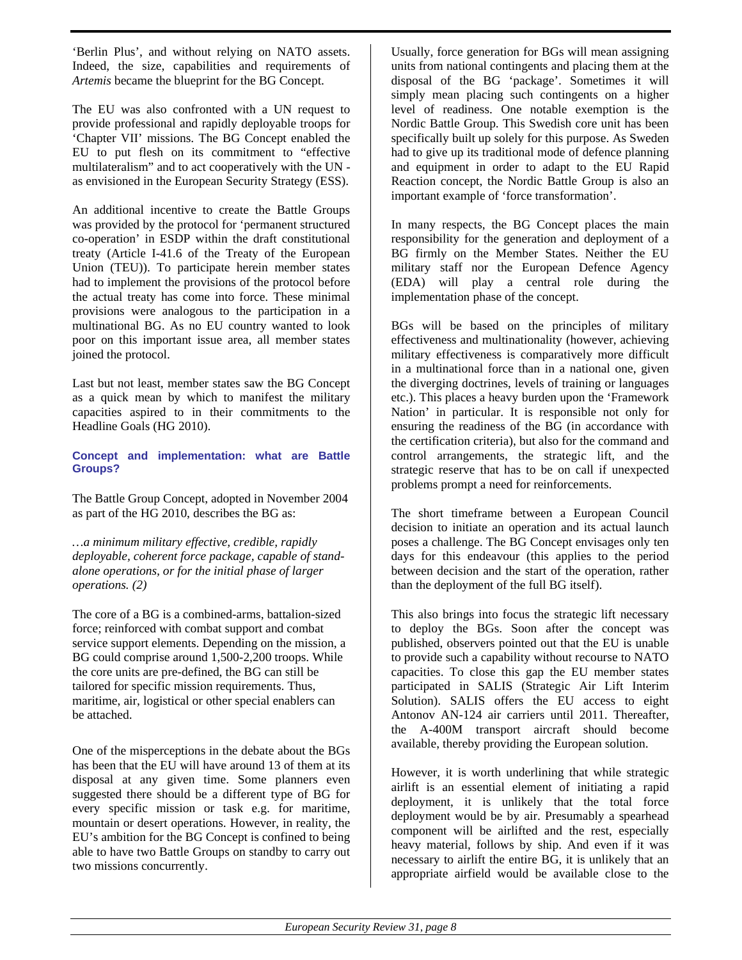'Berlin Plus', and without relying on NATO assets. Indeed, the size, capabilities and requirements of *Artemis* became the blueprint for the BG Concept.

The EU was also confronted with a UN request to provide professional and rapidly deployable troops for 'Chapter VII' missions. The BG Concept enabled the EU to put flesh on its commitment to "effective multilateralism" and to act cooperatively with the UN as envisioned in the European Security Strategy (ESS).

An additional incentive to create the Battle Groups was provided by the protocol for 'permanent structured co-operation' in ESDP within the draft constitutional treaty (Article I-41.6 of the Treaty of the European Union (TEU)). To participate herein member states had to implement the provisions of the protocol before the actual treaty has come into force. These minimal provisions were analogous to the participation in a multinational BG. As no EU country wanted to look poor on this important issue area, all member states joined the protocol.

Last but not least, member states saw the BG Concept as a quick mean by which to manifest the military capacities aspired to in their commitments to the Headline Goals (HG 2010).

**Concept and implementation: what are Battle Groups?** 

The Battle Group Concept, adopted in November 2004 as part of the HG 2010, describes the BG as:

*…a minimum military effective, credible, rapidly deployable, coherent force package, capable of standalone operations, or for the initial phase of larger operations. (2)* 

The core of a BG is a combined-arms, battalion-sized force; reinforced with combat support and combat service support elements. Depending on the mission, a BG could comprise around 1,500-2,200 troops. While the core units are pre-defined, the BG can still be tailored for specific mission requirements. Thus, maritime, air, logistical or other special enablers can be attached.

One of the misperceptions in the debate about the BGs has been that the EU will have around 13 of them at its disposal at any given time. Some planners even suggested there should be a different type of BG for every specific mission or task e.g. for maritime, mountain or desert operations. However, in reality, the EU's ambition for the BG Concept is confined to being able to have two Battle Groups on standby to carry out two missions concurrently.

Usually, force generation for BGs will mean assigning units from national contingents and placing them at the disposal of the BG 'package'. Sometimes it will simply mean placing such contingents on a higher level of readiness. One notable exemption is the Nordic Battle Group. This Swedish core unit has been specifically built up solely for this purpose. As Sweden had to give up its traditional mode of defence planning and equipment in order to adapt to the EU Rapid Reaction concept, the Nordic Battle Group is also an important example of 'force transformation'.

In many respects, the BG Concept places the main responsibility for the generation and deployment of a BG firmly on the Member States. Neither the EU military staff nor the European Defence Agency (EDA) will play a central role during the implementation phase of the concept.

BGs will be based on the principles of military effectiveness and multinationality (however, achieving military effectiveness is comparatively more difficult in a multinational force than in a national one, given the diverging doctrines, levels of training or languages etc.). This places a heavy burden upon the 'Framework Nation' in particular. It is responsible not only for ensuring the readiness of the BG (in accordance with the certification criteria), but also for the command and control arrangements, the strategic lift, and the strategic reserve that has to be on call if unexpected problems prompt a need for reinforcements.

The short timeframe between a European Council decision to initiate an operation and its actual launch poses a challenge. The BG Concept envisages only ten days for this endeavour (this applies to the period between decision and the start of the operation, rather than the deployment of the full BG itself).

This also brings into focus the strategic lift necessary to deploy the BGs. Soon after the concept was published, observers pointed out that the EU is unable to provide such a capability without recourse to NATO capacities. To close this gap the EU member states participated in SALIS (Strategic Air Lift Interim Solution). SALIS offers the EU access to eight Antonov AN-124 air carriers until 2011. Thereafter, the A-400M transport aircraft should become available, thereby providing the European solution.

However, it is worth underlining that while strategic airlift is an essential element of initiating a rapid deployment, it is unlikely that the total force deployment would be by air. Presumably a spearhead component will be airlifted and the rest, especially heavy material, follows by ship. And even if it was necessary to airlift the entire BG, it is unlikely that an appropriate airfield would be available close to the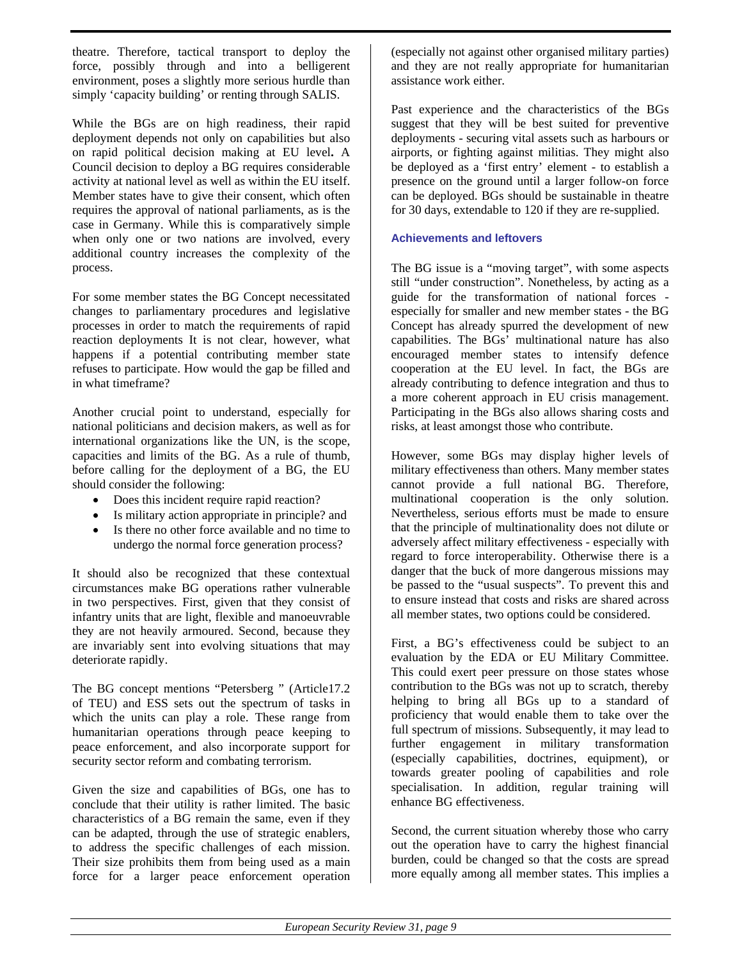theatre. Therefore, tactical transport to deploy the force, possibly through and into a belligerent environment, poses a slightly more serious hurdle than simply 'capacity building' or renting through SALIS.

While the BGs are on high readiness, their rapid deployment depends not only on capabilities but also on rapid political decision making at EU level**.** A Council decision to deploy a BG requires considerable activity at national level as well as within the EU itself. Member states have to give their consent, which often requires the approval of national parliaments, as is the case in Germany. While this is comparatively simple when only one or two nations are involved, every additional country increases the complexity of the process.

For some member states the BG Concept necessitated changes to parliamentary procedures and legislative processes in order to match the requirements of rapid reaction deployments It is not clear, however, what happens if a potential contributing member state refuses to participate. How would the gap be filled and in what timeframe?

Another crucial point to understand, especially for national politicians and decision makers, as well as for international organizations like the UN, is the scope, capacities and limits of the BG. As a rule of thumb, before calling for the deployment of a BG, the EU should consider the following:

- Does this incident require rapid reaction?
- Is military action appropriate in principle? and
- Is there no other force available and no time to undergo the normal force generation process?

It should also be recognized that these contextual circumstances make BG operations rather vulnerable in two perspectives. First, given that they consist of infantry units that are light, flexible and manoeuvrable they are not heavily armoured. Second, because they are invariably sent into evolving situations that may deteriorate rapidly.

The BG concept mentions "Petersberg " (Article17.2 of TEU) and ESS sets out the spectrum of tasks in which the units can play a role. These range from humanitarian operations through peace keeping to peace enforcement, and also incorporate support for security sector reform and combating terrorism.

Given the size and capabilities of BGs, one has to conclude that their utility is rather limited. The basic characteristics of a BG remain the same, even if they can be adapted, through the use of strategic enablers, to address the specific challenges of each mission. Their size prohibits them from being used as a main force for a larger peace enforcement operation (especially not against other organised military parties) and they are not really appropriate for humanitarian assistance work either.

Past experience and the characteristics of the BGs suggest that they will be best suited for preventive deployments - securing vital assets such as harbours or airports, or fighting against militias. They might also be deployed as a 'first entry' element - to establish a presence on the ground until a larger follow-on force can be deployed. BGs should be sustainable in theatre for 30 days, extendable to 120 if they are re-supplied.

## **Achievements and leftovers**

The BG issue is a "moving target", with some aspects still "under construction". Nonetheless, by acting as a guide for the transformation of national forces especially for smaller and new member states - the BG Concept has already spurred the development of new capabilities. The BGs' multinational nature has also encouraged member states to intensify defence cooperation at the EU level. In fact, the BGs are already contributing to defence integration and thus to a more coherent approach in EU crisis management. Participating in the BGs also allows sharing costs and risks, at least amongst those who contribute.

However, some BGs may display higher levels of military effectiveness than others. Many member states cannot provide a full national BG. Therefore, multinational cooperation is the only solution. Nevertheless, serious efforts must be made to ensure that the principle of multinationality does not dilute or adversely affect military effectiveness - especially with regard to force interoperability. Otherwise there is a danger that the buck of more dangerous missions may be passed to the "usual suspects". To prevent this and to ensure instead that costs and risks are shared across all member states, two options could be considered.

First, a BG's effectiveness could be subject to an evaluation by the EDA or EU Military Committee. This could exert peer pressure on those states whose contribution to the BGs was not up to scratch, thereby helping to bring all BGs up to a standard of proficiency that would enable them to take over the full spectrum of missions. Subsequently, it may lead to further engagement in military transformation (especially capabilities, doctrines, equipment), or towards greater pooling of capabilities and role specialisation. In addition, regular training will enhance BG effectiveness.

Second, the current situation whereby those who carry out the operation have to carry the highest financial burden, could be changed so that the costs are spread more equally among all member states. This implies a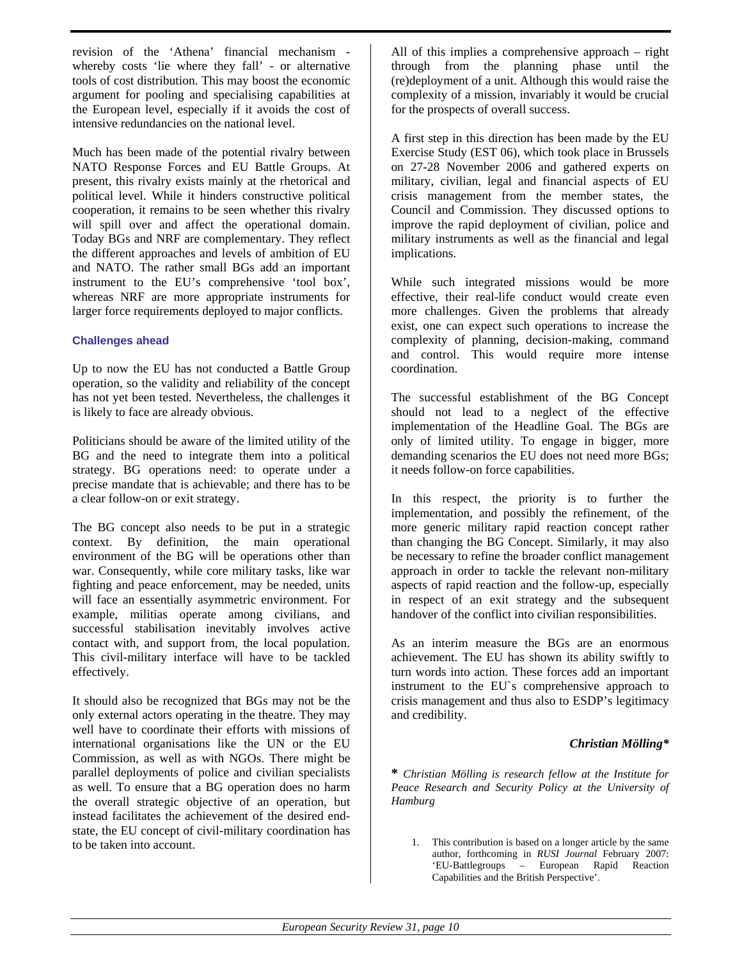revision of the 'Athena' financial mechanism whereby costs 'lie where they fall' - or alternative tools of cost distribution. This may boost the economic argument for pooling and specialising capabilities at the European level, especially if it avoids the cost of intensive redundancies on the national level.

Much has been made of the potential rivalry between NATO Response Forces and EU Battle Groups. At present, this rivalry exists mainly at the rhetorical and political level. While it hinders constructive political cooperation, it remains to be seen whether this rivalry will spill over and affect the operational domain. Today BGs and NRF are complementary. They reflect the different approaches and levels of ambition of EU and NATO. The rather small BGs add an important instrument to the EU's comprehensive 'tool box', whereas NRF are more appropriate instruments for larger force requirements deployed to major conflicts.

## **Challenges ahead**

Up to now the EU has not conducted a Battle Group operation, so the validity and reliability of the concept has not yet been tested. Nevertheless, the challenges it is likely to face are already obvious.

Politicians should be aware of the limited utility of the BG and the need to integrate them into a political strategy. BG operations need: to operate under a precise mandate that is achievable; and there has to be a clear follow-on or exit strategy.

The BG concept also needs to be put in a strategic context. By definition, the main operational environment of the BG will be operations other than war. Consequently, while core military tasks, like war fighting and peace enforcement, may be needed, units will face an essentially asymmetric environment. For example, militias operate among civilians, and successful stabilisation inevitably involves active contact with, and support from, the local population. This civil-military interface will have to be tackled effectively.

It should also be recognized that BGs may not be the only external actors operating in the theatre. They may well have to coordinate their efforts with missions of international organisations like the UN or the EU Commission, as well as with NGOs. There might be parallel deployments of police and civilian specialists as well. To ensure that a BG operation does no harm the overall strategic objective of an operation, but instead facilitates the achievement of the desired endstate, the EU concept of civil-military coordination has to be taken into account.

All of this implies a comprehensive approach – right through from the planning phase until the (re)deployment of a unit. Although this would raise the complexity of a mission, invariably it would be crucial for the prospects of overall success.

A first step in this direction has been made by the EU Exercise Study (EST 06), which took place in Brussels on 27-28 November 2006 and gathered experts on military, civilian, legal and financial aspects of EU crisis management from the member states, the Council and Commission. They discussed options to improve the rapid deployment of civilian, police and military instruments as well as the financial and legal implications.

While such integrated missions would be more effective, their real-life conduct would create even more challenges. Given the problems that already exist, one can expect such operations to increase the complexity of planning, decision-making, command and control. This would require more intense coordination.

The successful establishment of the BG Concept should not lead to a neglect of the effective implementation of the Headline Goal. The BGs are only of limited utility. To engage in bigger, more demanding scenarios the EU does not need more BGs; it needs follow-on force capabilities.

In this respect, the priority is to further the implementation, and possibly the refinement, of the more generic military rapid reaction concept rather than changing the BG Concept. Similarly, it may also be necessary to refine the broader conflict management approach in order to tackle the relevant non-military aspects of rapid reaction and the follow-up, especially in respect of an exit strategy and the subsequent handover of the conflict into civilian responsibilities.

As an interim measure the BGs are an enormous achievement. The EU has shown its ability swiftly to turn words into action. These forces add an important instrument to the EU`s comprehensive approach to crisis management and thus also to ESDP's legitimacy and credibility.

## *Christian Mölling\**

**\*** *Christian Mölling is research fellow at the Institute for Peace Research and Security Policy at the University of Hamburg* 

1. This contribution is based on a longer article by the same author, forthcoming in *RUSI Journal* February 2007: 'EU-Battlegroups – European Rapid Reaction Capabilities and the British Perspective'.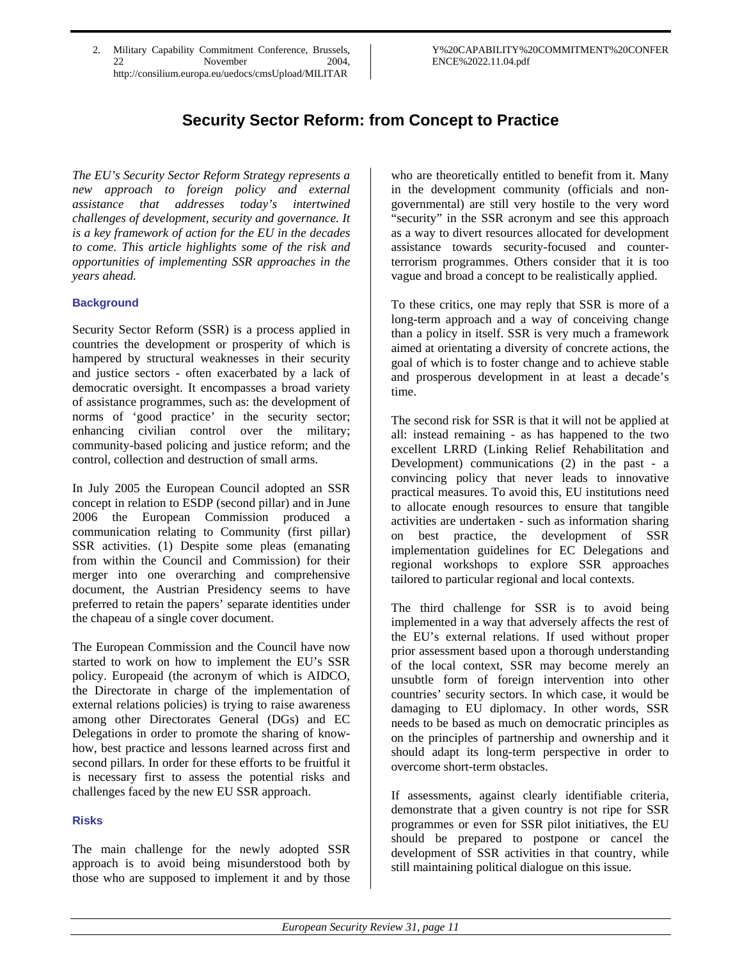2. Military Capability Commitment Conference, Brussels, 22 November 2004, http://consilium.europa.eu/uedocs/cmsUpload/MILITAR

# **Security Sector Reform: from Concept to Practice**

*The EU's Security Sector Reform Strategy represents a new approach to foreign policy and external assistance that addresses today's intertwined challenges of development, security and governance. It is a key framework of action for the EU in the decades to come. This article highlights some of the risk and opportunities of implementing SSR approaches in the years ahead.* 

## **Background**

Security Sector Reform (SSR) is a process applied in countries the development or prosperity of which is hampered by structural weaknesses in their security and justice sectors - often exacerbated by a lack of democratic oversight. It encompasses a broad variety of assistance programmes, such as: the development of norms of 'good practice' in the security sector; enhancing civilian control over the military; community-based policing and justice reform; and the control, collection and destruction of small arms.

In July 2005 the European Council adopted an SSR concept in relation to ESDP (second pillar) and in June 2006 the European Commission produced a communication relating to Community (first pillar) SSR activities. (1) Despite some pleas (emanating from within the Council and Commission) for their merger into one overarching and comprehensive document, the Austrian Presidency seems to have preferred to retain the papers' separate identities under the chapeau of a single cover document.

The European Commission and the Council have now started to work on how to implement the EU's SSR policy. Europeaid (the acronym of which is AIDCO, the Directorate in charge of the implementation of external relations policies) is trying to raise awareness among other Directorates General (DGs) and EC Delegations in order to promote the sharing of knowhow, best practice and lessons learned across first and second pillars. In order for these efforts to be fruitful it is necessary first to assess the potential risks and challenges faced by the new EU SSR approach.

#### **Risks**

The main challenge for the newly adopted SSR approach is to avoid being misunderstood both by those who are supposed to implement it and by those who are theoretically entitled to benefit from it. Many in the development community (officials and nongovernmental) are still very hostile to the very word "security" in the SSR acronym and see this approach as a way to divert resources allocated for development assistance towards security-focused and counterterrorism programmes. Others consider that it is too vague and broad a concept to be realistically applied.

To these critics, one may reply that SSR is more of a long-term approach and a way of conceiving change than a policy in itself. SSR is very much a framework aimed at orientating a diversity of concrete actions, the goal of which is to foster change and to achieve stable and prosperous development in at least a decade's time.

The second risk for SSR is that it will not be applied at all: instead remaining - as has happened to the two excellent LRRD (Linking Relief Rehabilitation and Development) communications (2) in the past - a convincing policy that never leads to innovative practical measures. To avoid this, EU institutions need to allocate enough resources to ensure that tangible activities are undertaken - such as information sharing on best practice, the development of SSR implementation guidelines for EC Delegations and regional workshops to explore SSR approaches tailored to particular regional and local contexts.

The third challenge for SSR is to avoid being implemented in a way that adversely affects the rest of the EU's external relations. If used without proper prior assessment based upon a thorough understanding of the local context, SSR may become merely an unsubtle form of foreign intervention into other countries' security sectors. In which case, it would be damaging to EU diplomacy. In other words, SSR needs to be based as much on democratic principles as on the principles of partnership and ownership and it should adapt its long-term perspective in order to overcome short-term obstacles.

If assessments, against clearly identifiable criteria, demonstrate that a given country is not ripe for SSR programmes or even for SSR pilot initiatives, the EU should be prepared to postpone or cancel the development of SSR activities in that country, while still maintaining political dialogue on this issue.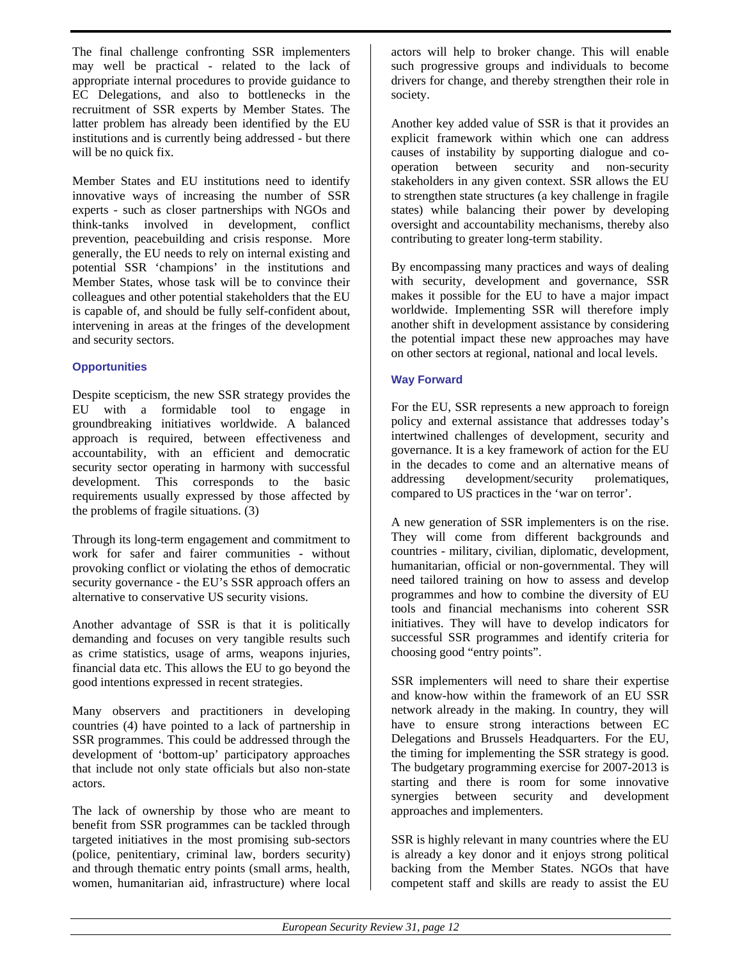The final challenge confronting SSR implementers may well be practical - related to the lack of appropriate internal procedures to provide guidance to EC Delegations, and also to bottlenecks in the recruitment of SSR experts by Member States. The latter problem has already been identified by the EU institutions and is currently being addressed - but there will be no quick fix.

Member States and EU institutions need to identify innovative ways of increasing the number of SSR experts - such as closer partnerships with NGOs and think-tanks involved in development, conflict prevention, peacebuilding and crisis response. More generally, the EU needs to rely on internal existing and potential SSR 'champions' in the institutions and Member States, whose task will be to convince their colleagues and other potential stakeholders that the EU is capable of, and should be fully self-confident about, intervening in areas at the fringes of the development and security sectors.

## **Opportunities**

Despite scepticism, the new SSR strategy provides the EU with a formidable tool to engage in groundbreaking initiatives worldwide. A balanced approach is required, between effectiveness and accountability, with an efficient and democratic security sector operating in harmony with successful development. This corresponds to the basic requirements usually expressed by those affected by the problems of fragile situations. (3)

Through its long-term engagement and commitment to work for safer and fairer communities - without provoking conflict or violating the ethos of democratic security governance - the EU's SSR approach offers an alternative to conservative US security visions.

Another advantage of SSR is that it is politically demanding and focuses on very tangible results such as crime statistics, usage of arms, weapons injuries, financial data etc. This allows the EU to go beyond the good intentions expressed in recent strategies.

Many observers and practitioners in developing countries (4) have pointed to a lack of partnership in SSR programmes. This could be addressed through the development of 'bottom-up' participatory approaches that include not only state officials but also non-state actors.

The lack of ownership by those who are meant to benefit from SSR programmes can be tackled through targeted initiatives in the most promising sub-sectors (police, penitentiary, criminal law, borders security) and through thematic entry points (small arms, health, women, humanitarian aid, infrastructure) where local actors will help to broker change. This will enable such progressive groups and individuals to become drivers for change, and thereby strengthen their role in society.

Another key added value of SSR is that it provides an explicit framework within which one can address causes of instability by supporting dialogue and cooperation between security and non-security stakeholders in any given context. SSR allows the EU to strengthen state structures (a key challenge in fragile states) while balancing their power by developing oversight and accountability mechanisms, thereby also contributing to greater long-term stability.

By encompassing many practices and ways of dealing with security, development and governance, SSR makes it possible for the EU to have a major impact worldwide. Implementing SSR will therefore imply another shift in development assistance by considering the potential impact these new approaches may have on other sectors at regional, national and local levels.

## **Way Forward**

For the EU, SSR represents a new approach to foreign policy and external assistance that addresses today's intertwined challenges of development, security and governance. It is a key framework of action for the EU in the decades to come and an alternative means of addressing development/security prolematiques, compared to US practices in the 'war on terror'.

A new generation of SSR implementers is on the rise. They will come from different backgrounds and countries - military, civilian, diplomatic, development, humanitarian, official or non-governmental. They will need tailored training on how to assess and develop programmes and how to combine the diversity of EU tools and financial mechanisms into coherent SSR initiatives. They will have to develop indicators for successful SSR programmes and identify criteria for choosing good "entry points".

SSR implementers will need to share their expertise and know-how within the framework of an EU SSR network already in the making. In country, they will have to ensure strong interactions between EC Delegations and Brussels Headquarters. For the EU, the timing for implementing the SSR strategy is good. The budgetary programming exercise for 2007-2013 is starting and there is room for some innovative synergies between security and development approaches and implementers.

SSR is highly relevant in many countries where the EU is already a key donor and it enjoys strong political backing from the Member States. NGOs that have competent staff and skills are ready to assist the EU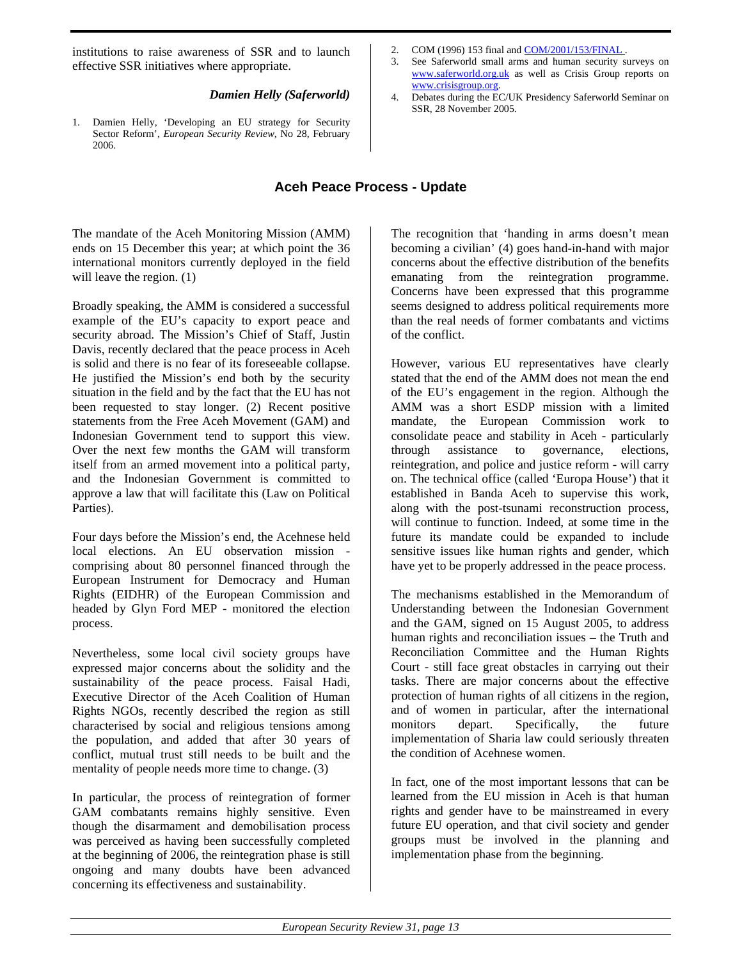institutions to raise awareness of SSR and to launch effective SSR initiatives where appropriate.

#### *Damien Helly (Saferworld)*

1. Damien Helly, 'Developing an EU strategy for Security Sector Reform', *European Security Review*, No 28, February 2006.

## **Aceh Peace Process - Update**

The mandate of the Aceh Monitoring Mission (AMM) ends on 15 December this year; at which point the 36 international monitors currently deployed in the field will leave the region.  $(1)$ 

Broadly speaking, the AMM is considered a successful example of the EU's capacity to export peace and security abroad. The Mission's Chief of Staff, Justin Davis, recently declared that the peace process in Aceh is solid and there is no fear of its foreseeable collapse. He justified the Mission's end both by the security situation in the field and by the fact that the EU has not been requested to stay longer. (2) Recent positive statements from the Free Aceh Movement (GAM) and Indonesian Government tend to support this view. Over the next few months the GAM will transform itself from an armed movement into a political party, and the Indonesian Government is committed to approve a law that will facilitate this (Law on Political Parties).

Four days before the Mission's end, the Acehnese held local elections. An EU observation mission comprising about 80 personnel financed through the European Instrument for Democracy and Human Rights (EIDHR) of the European Commission and headed by Glyn Ford MEP - monitored the election process.

Nevertheless, some local civil society groups have expressed major concerns about the solidity and the sustainability of the peace process. Faisal Hadi, Executive Director of the Aceh Coalition of Human Rights NGOs, recently described the region as still characterised by social and religious tensions among the population, and added that after 30 years of conflict, mutual trust still needs to be built and the mentality of people needs more time to change. (3)

In particular, the process of reintegration of former GAM combatants remains highly sensitive. Even though the disarmament and demobilisation process was perceived as having been successfully completed at the beginning of 2006, the reintegration phase is still ongoing and many doubts have been advanced concerning its effectiveness and sustainability.

- 2. COM (1996) 153 final and COM/2001/153/FINAL.
- 3. See Saferworld small arms and human security surveys on www.saferworld.org.uk as well as Crisis Group reports on www.crisisgroup.org.
- 4. Debates during the EC/UK Presidency Saferworld Seminar on SSR, 28 November 2005.

#### The recognition that 'handing in arms doesn't mean becoming a civilian' (4) goes hand-in-hand with major concerns about the effective distribution of the benefits emanating from the reintegration programme. Concerns have been expressed that this programme seems designed to address political requirements more than the real needs of former combatants and victims of the conflict.

However, various EU representatives have clearly stated that the end of the AMM does not mean the end of the EU's engagement in the region. Although the AMM was a short ESDP mission with a limited mandate, the European Commission work to consolidate peace and stability in Aceh - particularly through assistance to governance, elections, reintegration, and police and justice reform - will carry on. The technical office (called 'Europa House') that it established in Banda Aceh to supervise this work, along with the post-tsunami reconstruction process, will continue to function. Indeed, at some time in the future its mandate could be expanded to include sensitive issues like human rights and gender, which have yet to be properly addressed in the peace process.

The mechanisms established in the Memorandum of Understanding between the Indonesian Government and the GAM, signed on 15 August 2005, to address human rights and reconciliation issues – the Truth and Reconciliation Committee and the Human Rights Court - still face great obstacles in carrying out their tasks. There are major concerns about the effective protection of human rights of all citizens in the region, and of women in particular, after the international monitors depart. Specifically, the future implementation of Sharia law could seriously threaten the condition of Acehnese women.

In fact, one of the most important lessons that can be learned from the EU mission in Aceh is that human rights and gender have to be mainstreamed in every future EU operation, and that civil society and gender groups must be involved in the planning and implementation phase from the beginning.